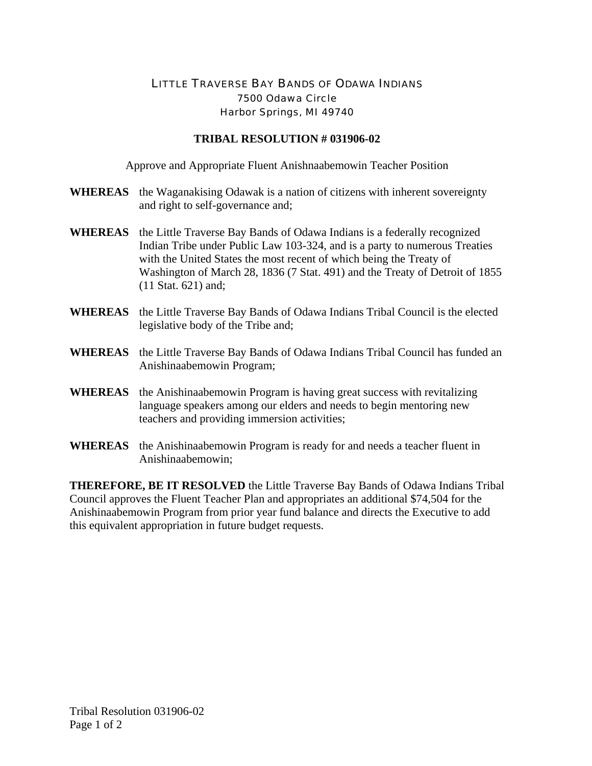## LITTLE TRAVERSE BAY BANDS OF ODAWA INDIANS 7500 Odawa Circle Harbor Springs, MI 49740

## **TRIBAL RESOLUTION # 031906-02**

Approve and Appropriate Fluent Anishnaabemowin Teacher Position

- **WHEREAS** the Waganakising Odawak is a nation of citizens with inherent sovereignty and right to self-governance and;
- **WHEREAS** the Little Traverse Bay Bands of Odawa Indians is a federally recognized Indian Tribe under Public Law 103-324, and is a party to numerous Treaties with the United States the most recent of which being the Treaty of Washington of March 28, 1836 (7 Stat. 491) and the Treaty of Detroit of 1855 (11 Stat. 621) and;
- **WHEREAS** the Little Traverse Bay Bands of Odawa Indians Tribal Council is the elected legislative body of the Tribe and;
- **WHEREAS** the Little Traverse Bay Bands of Odawa Indians Tribal Council has funded an Anishinaabemowin Program;
- **WHEREAS** the Anishinaabemowin Program is having great success with revitalizing language speakers among our elders and needs to begin mentoring new teachers and providing immersion activities;
- **WHEREAS** the Anishinaabemowin Program is ready for and needs a teacher fluent in Anishinaabemowin;

**THEREFORE, BE IT RESOLVED** the Little Traverse Bay Bands of Odawa Indians Tribal Council approves the Fluent Teacher Plan and appropriates an additional \$74,504 for the Anishinaabemowin Program from prior year fund balance and directs the Executive to add this equivalent appropriation in future budget requests.